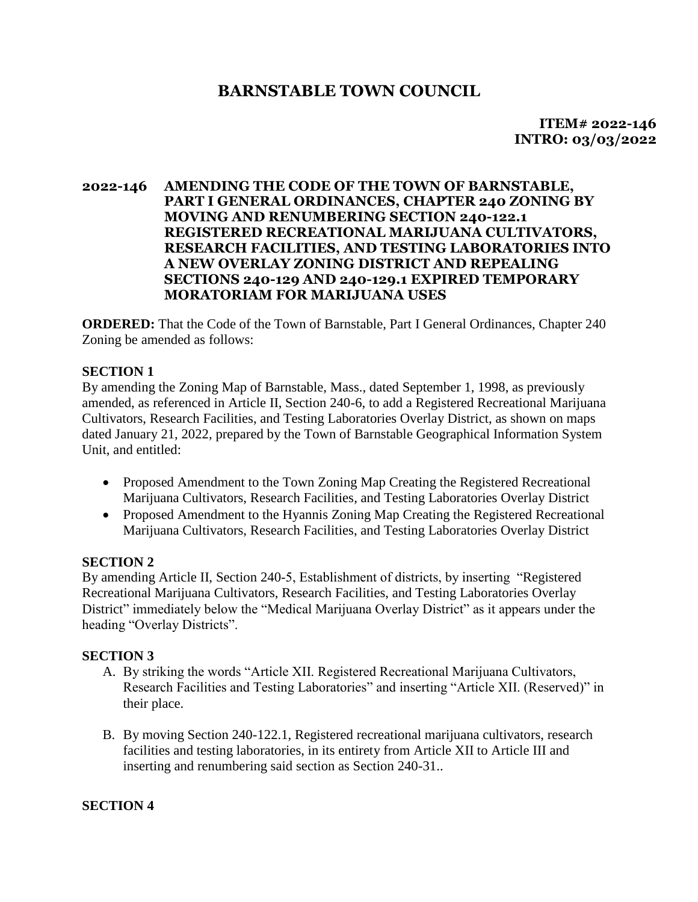## **BARNSTABLE TOWN COUNCIL**

 **ITEM# 2022-146 INTRO: 03/03/2022** 

## **2022-146 AMENDING THE CODE OF THE TOWN OF BARNSTABLE, PART I GENERAL ORDINANCES, CHAPTER 240 ZONING BY MOVING AND RENUMBERING SECTION 240-122.1 REGISTERED RECREATIONAL MARIJUANA CULTIVATORS, RESEARCH FACILITIES, AND TESTING LABORATORIES INTO A NEW OVERLAY ZONING DISTRICT AND REPEALING SECTIONS 240-129 AND 240-129.1 EXPIRED TEMPORARY MORATORIAM FOR MARIJUANA USES**

**ORDERED:** That the Code of the Town of Barnstable, Part I General Ordinances, Chapter 240 Zoning be amended as follows:

## **SECTION 1**

By amending the Zoning Map of Barnstable, Mass., dated September 1, 1998, as previously amended, as referenced in Article II, Section 240-6, to add a Registered Recreational Marijuana Cultivators, Research Facilities, and Testing Laboratories Overlay District, as shown on maps dated January 21, 2022, prepared by the Town of Barnstable Geographical Information System Unit, and entitled:

- Proposed Amendment to the Town Zoning Map Creating the Registered Recreational Marijuana Cultivators, Research Facilities, and Testing Laboratories Overlay District
- Proposed Amendment to the Hyannis Zoning Map Creating the Registered Recreational Marijuana Cultivators, Research Facilities, and Testing Laboratories Overlay District

## **SECTION 2**

By amending Article II, Section 240-5, Establishment of districts, by inserting "Registered Recreational Marijuana Cultivators, Research Facilities, and Testing Laboratories Overlay District" immediately below the "Medical Marijuana Overlay District" as it appears under the heading "Overlay Districts".

## **SECTION 3**

- A. By striking the words "Article XII. Registered Recreational Marijuana Cultivators, Research Facilities and Testing Laboratories" and inserting "Article XII. (Reserved)" in their place.
- B. By moving Section 240-122.1, Registered recreational marijuana cultivators, research facilities and testing laboratories, in its entirety from Article XII to Article III and inserting and renumbering said section as Section 240-31..

## **SECTION 4**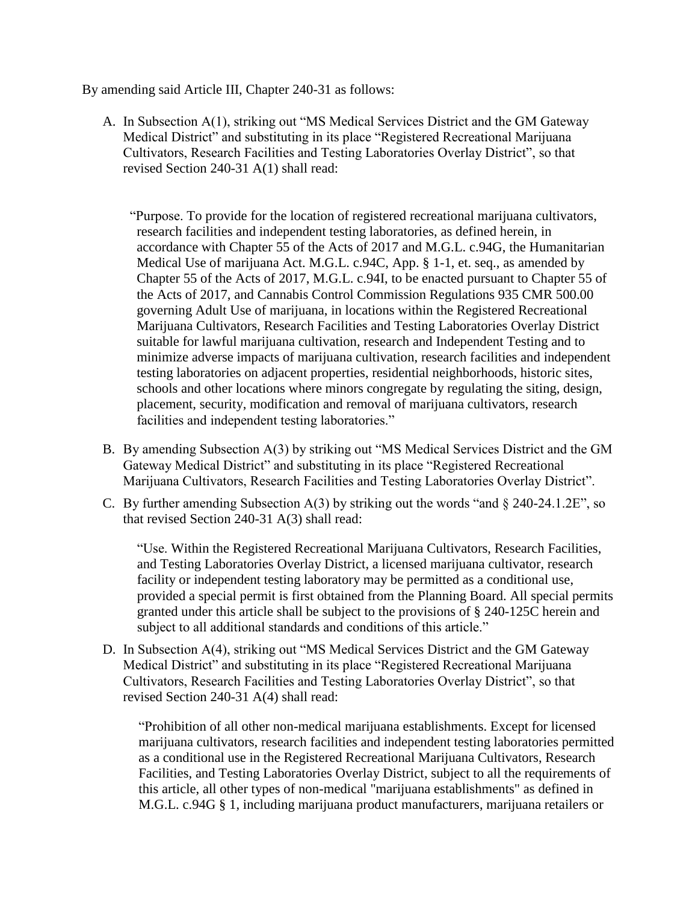By amending said Article III, Chapter 240-31 as follows:

A. In Subsection A(1), striking out "MS Medical Services District and the GM Gateway Medical District" and substituting in its place "Registered Recreational Marijuana Cultivators, Research Facilities and Testing Laboratories Overlay District", so that revised Section 240-31 A(1) shall read:

 "Purpose. To provide for the location of registered recreational marijuana cultivators, research facilities and independent testing laboratories, as defined herein, in accordance with Chapter 55 of the Acts of 2017 and M.G.L. c.94G, the Humanitarian Medical Use of marijuana Act. M.G.L. c.94C, App. § 1-1, et. seq., as amended by Chapter 55 of the Acts of 2017, M.G.L. c.94I, to be enacted pursuant to Chapter 55 of the Acts of 2017, and Cannabis Control Commission Regulations 935 CMR 500.00 governing Adult Use of marijuana, in locations within the Registered Recreational Marijuana Cultivators, Research Facilities and Testing Laboratories Overlay District suitable for lawful marijuana cultivation, research and Independent Testing and to minimize adverse impacts of marijuana cultivation, research facilities and independent testing laboratories on adjacent properties, residential neighborhoods, historic sites, schools and other locations where minors congregate by regulating the siting, design, placement, security, modification and removal of marijuana cultivators, research facilities and independent testing laboratories."

- B. By amending Subsection A(3) by striking out "MS Medical Services District and the GM Gateway Medical District" and substituting in its place "Registered Recreational Marijuana Cultivators, Research Facilities and Testing Laboratories Overlay District".
- C. By further amending Subsection  $A(3)$  by striking out the words "and  $\S 240-24.1.2E$ ", so that revised Section 240-31 A(3) shall read:

"Use. Within the Registered Recreational Marijuana Cultivators, Research Facilities, and Testing Laboratories Overlay District, a licensed marijuana cultivator, research facility or independent testing laboratory may be permitted as a conditional use, provided a special permit is first obtained from the Planning Board. All special permits granted under this article shall be subject to the provisions of § 240-125C herein and subject to all additional standards and conditions of this article."

D. In Subsection A(4), striking out "MS Medical Services District and the GM Gateway Medical District" and substituting in its place "Registered Recreational Marijuana Cultivators, Research Facilities and Testing Laboratories Overlay District", so that revised Section 240-31 A(4) shall read:

"Prohibition of all other non-medical marijuana establishments. Except for licensed marijuana cultivators, research facilities and independent testing laboratories permitted as a conditional use in the Registered Recreational Marijuana Cultivators, Research Facilities, and Testing Laboratories Overlay District, subject to all the requirements of this article, all other types of non-medical "marijuana establishments" as defined in M.G.L. c.94G § 1, including marijuana product manufacturers, marijuana retailers or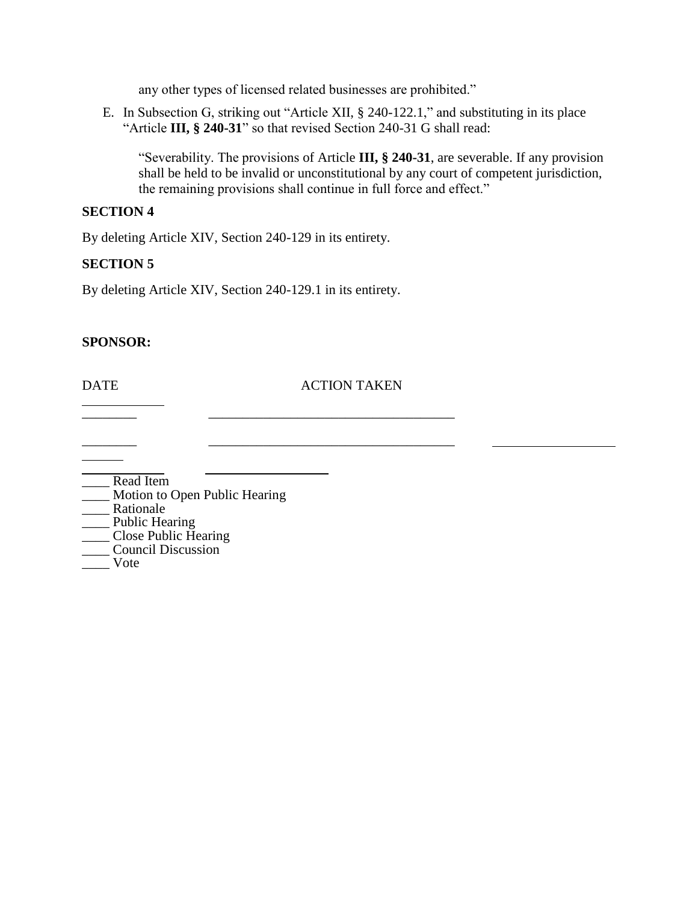any other types of licensed related businesses are prohibited."

E. In Subsection G, striking out "Article [XII,](https://ecode360.com/34268355#34268355) § [240-122.1,](https://ecode360.com/34268356#34268356)" and substituting in its place "Article **III, § 240-31**" so that revised Section 240-31 G shall read:

"Severability. The provisions of Article **III, § 240-31**, are severable. If any provision shall be held to be invalid or unconstitutional by any court of competent jurisdiction, the remaining provisions shall continue in full force and effect."

#### **SECTION 4**

By deleting Article XIV, Section 240-129 in its entirety.

## **SECTION 5**

By deleting Article XIV, Section 240-129.1 in its entirety.

\_\_\_\_\_\_\_\_ \_\_\_\_\_\_\_\_\_\_\_\_\_\_\_\_\_\_\_\_\_\_\_\_\_\_\_\_\_\_\_\_\_\_\_\_

### **SPONSOR:**

### DATE ACTION TAKEN

 $\frac{1}{2}$  ,  $\frac{1}{2}$  ,  $\frac{1}{2}$  ,  $\frac{1}{2}$  ,  $\frac{1}{2}$  ,  $\frac{1}{2}$  ,  $\frac{1}{2}$  ,  $\frac{1}{2}$  ,  $\frac{1}{2}$  ,  $\frac{1}{2}$  ,  $\frac{1}{2}$  ,  $\frac{1}{2}$  ,  $\frac{1}{2}$  ,  $\frac{1}{2}$  ,  $\frac{1}{2}$  ,  $\frac{1}{2}$  ,  $\frac{1}{2}$  ,  $\frac{1}{2}$  ,  $\frac{1$ 

| Read Item                     |
|-------------------------------|
| Motion to Open Public Hearing |
| Rationale                     |
| <b>Public Hearing</b>         |
| <b>Close Public Hearing</b>   |
| <b>Council Discussion</b>     |
| Vote                          |
|                               |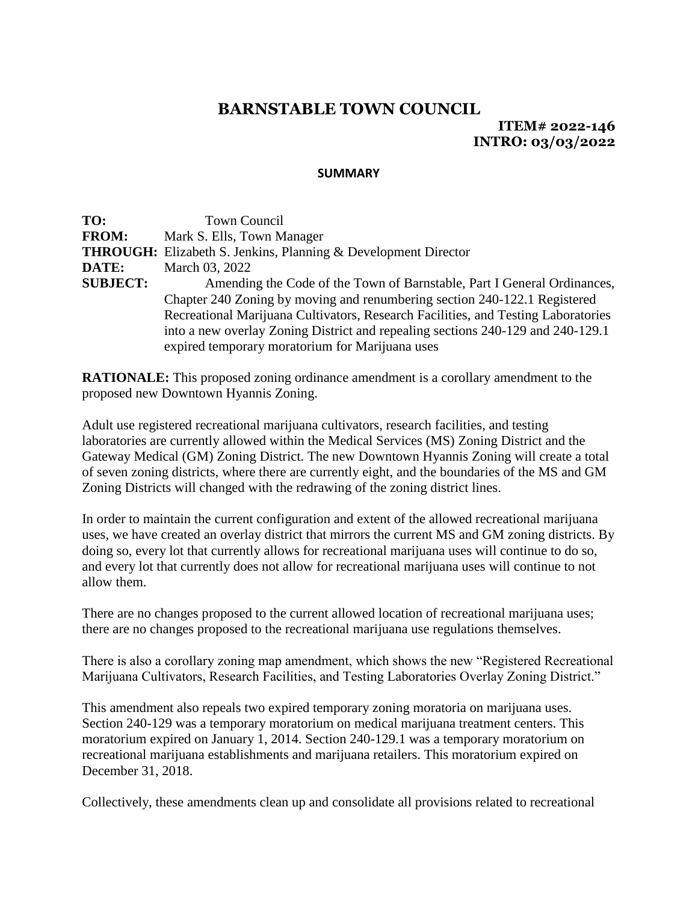# **BARNSTABLE TOWN COUNCIL**

**ITEM# 2022-146 INTRO: 03/03/2022**

#### **SUMMARY**

TO: Town Council **FROM:** Mark S. Ells, Town Manager **THROUGH:** Elizabeth S. Jenkins, Planning & Development Director **DATE:** March 03, 2022 **SUBJECT:** Amending the Code of the Town of Barnstable, Part I General Ordinances, Chapter 240 Zoning by moving and renumbering section 240-122.1 Registered Recreational Marijuana Cultivators, Research Facilities, and Testing Laboratories into a new overlay Zoning District and repealing sections 240-129 and 240-129.1 expired temporary moratorium for Marijuana uses

**RATIONALE:** This proposed zoning ordinance amendment is a corollary amendment to the proposed new Downtown Hyannis Zoning.

Adult use registered recreational marijuana cultivators, research facilities, and testing laboratories are currently allowed within the Medical Services (MS) Zoning District and the Gateway Medical (GM) Zoning District. The new Downtown Hyannis Zoning will create a total of seven zoning districts, where there are currently eight, and the boundaries of the MS and GM Zoning Districts will changed with the redrawing of the zoning district lines.

In order to maintain the current configuration and extent of the allowed recreational marijuana uses, we have created an overlay district that mirrors the current MS and GM zoning districts. By doing so, every lot that currently allows for recreational marijuana uses will continue to do so, and every lot that currently does not allow for recreational marijuana uses will continue to not allow them.

There are no changes proposed to the current allowed location of recreational marijuana uses; there are no changes proposed to the recreational marijuana use regulations themselves.

There is also a corollary zoning map amendment, which shows the new "Registered Recreational Marijuana Cultivators, Research Facilities, and Testing Laboratories Overlay Zoning District."

This amendment also repeals two expired temporary zoning moratoria on marijuana uses. Section 240-129 was a temporary moratorium on medical marijuana treatment centers. This moratorium expired on January 1, 2014. Section 240-129.1 was a temporary moratorium on recreational marijuana establishments and marijuana retailers. This moratorium expired on December 31, 2018.

Collectively, these amendments clean up and consolidate all provisions related to recreational